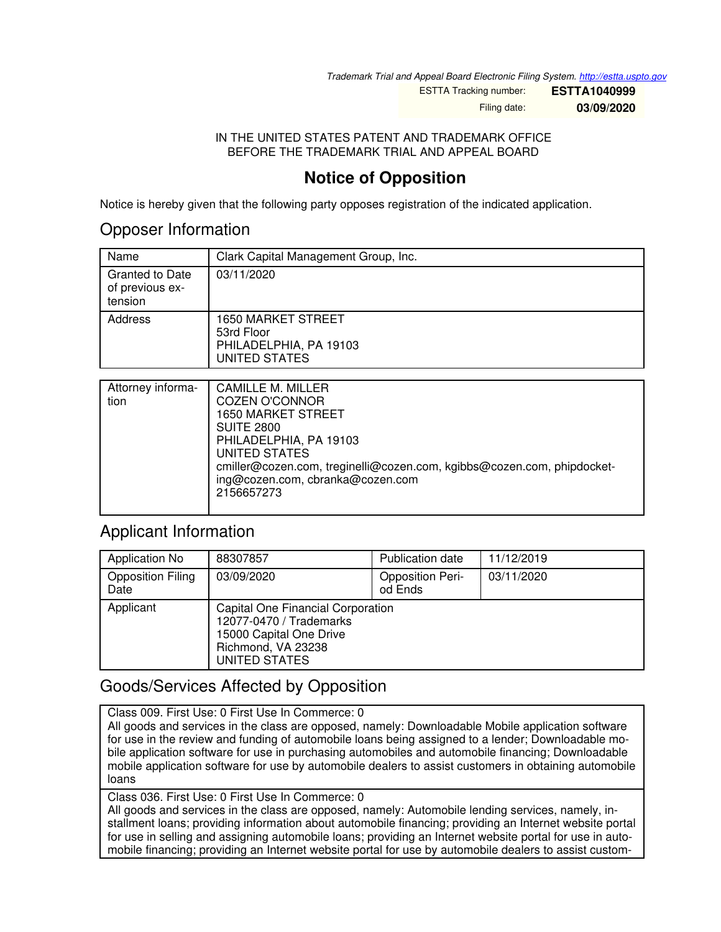*Trademark Trial and Appeal Board Electronic Filing System. <http://estta.uspto.gov>*

ESTTA Tracking number: **ESTTA1040999**

Filing date: **03/09/2020**

#### IN THE UNITED STATES PATENT AND TRADEMARK OFFICE BEFORE THE TRADEMARK TRIAL AND APPEAL BOARD

# **Notice of Opposition**

Notice is hereby given that the following party opposes registration of the indicated application.

## Opposer Information

| Name                                                 | Clark Capital Management Group, Inc.                                               |
|------------------------------------------------------|------------------------------------------------------------------------------------|
| <b>Granted to Date</b><br>of previous ex-<br>tension | 03/11/2020                                                                         |
| Address                                              | <b>1650 MARKET STREET</b><br>53rd Floor<br>PHILADELPHIA, PA 19103<br>UNITED STATES |

| Attorney informa-<br>tion | CAMILLE M. MILLER<br><b>COZEN O'CONNOR</b><br><b>1650 MARKET STREET</b><br><b>SUITE 2800</b><br>PHILADELPHIA, PA 19103<br><b>UNITED STATES</b><br>cmiller@cozen.com, treginelli@cozen.com, kgibbs@cozen.com, phipdocket-<br>ing@cozen.com, cbranka@cozen.com<br>2156657273 |
|---------------------------|----------------------------------------------------------------------------------------------------------------------------------------------------------------------------------------------------------------------------------------------------------------------------|
|---------------------------|----------------------------------------------------------------------------------------------------------------------------------------------------------------------------------------------------------------------------------------------------------------------------|

## Applicant Information

| Application No                   | 88307857                                                                                                                       | <b>Publication date</b>            | 11/12/2019 |
|----------------------------------|--------------------------------------------------------------------------------------------------------------------------------|------------------------------------|------------|
| <b>Opposition Filing</b><br>Date | 03/09/2020                                                                                                                     | <b>Opposition Peri-</b><br>od Ends | 03/11/2020 |
| Applicant                        | Capital One Financial Corporation<br>12077-0470 / Trademarks<br>15000 Capital One Drive<br>Richmond, VA 23238<br>UNITED STATES |                                    |            |

## Goods/Services Affected by Opposition

Class 009. First Use: 0 First Use In Commerce: 0

All goods and services in the class are opposed, namely: Downloadable Mobile application software for use in the review and funding of automobile loans being assigned to a lender; Downloadable mobile application software for use in purchasing automobiles and automobile financing; Downloadable mobile application software for use by automobile dealers to assist customers in obtaining automobile loans

Class 036. First Use: 0 First Use In Commerce: 0

All goods and services in the class are opposed, namely: Automobile lending services, namely, installment loans; providing information about automobile financing; providing an Internet website portal for use in selling and assigning automobile loans; providing an Internet website portal for use in automobile financing; providing an Internet website portal for use by automobile dealers to assist custom-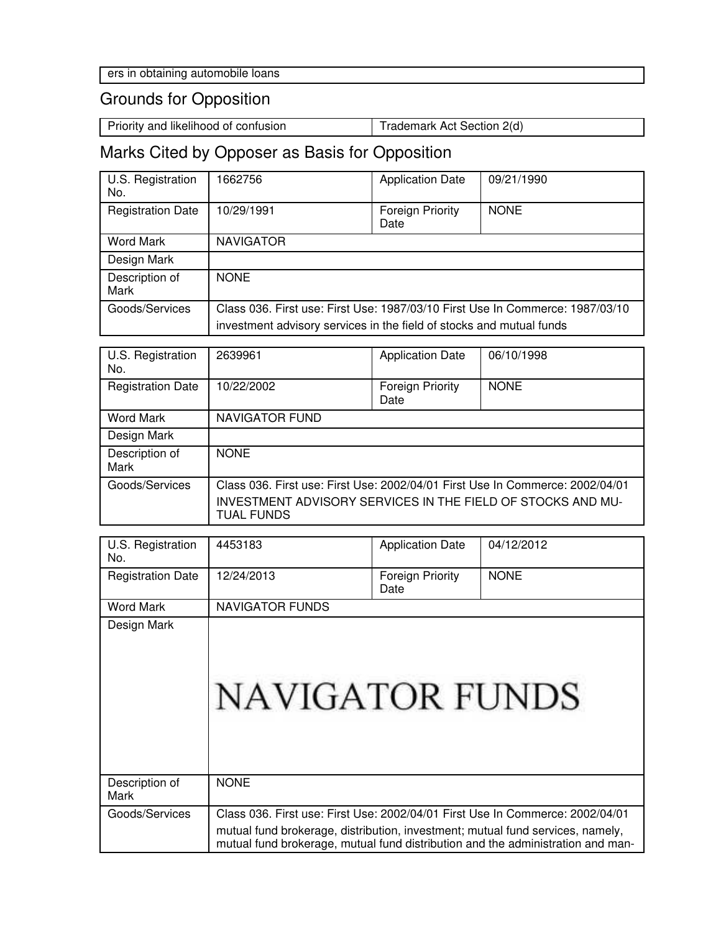# Grounds for Opposition

Priority and likelihood of confusion Trademark Act Section 2(d)

# Marks Cited by Opposer as Basis for Opposition

| U.S. Registration<br>No. | 662756                                                                        | <b>Application Date</b>         | 09/21/1990  |  |
|--------------------------|-------------------------------------------------------------------------------|---------------------------------|-------------|--|
| <b>Registration Date</b> | 10/29/1991                                                                    | <b>Foreign Priority</b><br>Date | <b>NONE</b> |  |
| <b>Word Mark</b>         | <b>NAVIGATOR</b>                                                              |                                 |             |  |
| Design Mark              |                                                                               |                                 |             |  |
| Description of<br>Mark   | <b>NONE</b>                                                                   |                                 |             |  |
| Goods/Services           | Class 036, First use: First Use: 1987/03/10 First Use In Commerce: 1987/03/10 |                                 |             |  |
|                          | investment advisory services in the field of stocks and mutual funds          |                                 |             |  |

| U.S. Registration<br>No. | 2639961                                                                          | <b>Application Date</b>         | 06/10/1998  |  |
|--------------------------|----------------------------------------------------------------------------------|---------------------------------|-------------|--|
| <b>Registration Date</b> | 10/22/2002                                                                       | <b>Foreign Priority</b><br>Date | <b>NONE</b> |  |
| <b>Word Mark</b>         | <b>NAVIGATOR FUND</b>                                                            |                                 |             |  |
| Design Mark              |                                                                                  |                                 |             |  |
| Description of<br>Mark   | <b>NONE</b>                                                                      |                                 |             |  |
| Goods/Services           | Class 036. First use: First Use: 2002/04/01 First Use In Commerce: 2002/04/01    |                                 |             |  |
|                          | INVESTMENT ADVISORY SERVICES IN THE FIELD OF STOCKS AND MU-<br><b>TUAL FUNDS</b> |                                 |             |  |

| U.S. Registration<br>No. | 4453183                                                                                                                                                           | <b>Application Date</b>  | 04/12/2012  |
|--------------------------|-------------------------------------------------------------------------------------------------------------------------------------------------------------------|--------------------------|-------------|
| <b>Registration Date</b> | 12/24/2013                                                                                                                                                        | Foreign Priority<br>Date | <b>NONE</b> |
| <b>Word Mark</b>         | <b>NAVIGATOR FUNDS</b>                                                                                                                                            |                          |             |
| Design Mark              | <b>NAVIGATOR FUNDS</b>                                                                                                                                            |                          |             |
| Description of<br>Mark   | <b>NONE</b>                                                                                                                                                       |                          |             |
| Goods/Services           | Class 036. First use: First Use: 2002/04/01 First Use In Commerce: 2002/04/01                                                                                     |                          |             |
|                          | mutual fund brokerage, distribution, investment; mutual fund services, namely,<br>mutual fund brokerage, mutual fund distribution and the administration and man- |                          |             |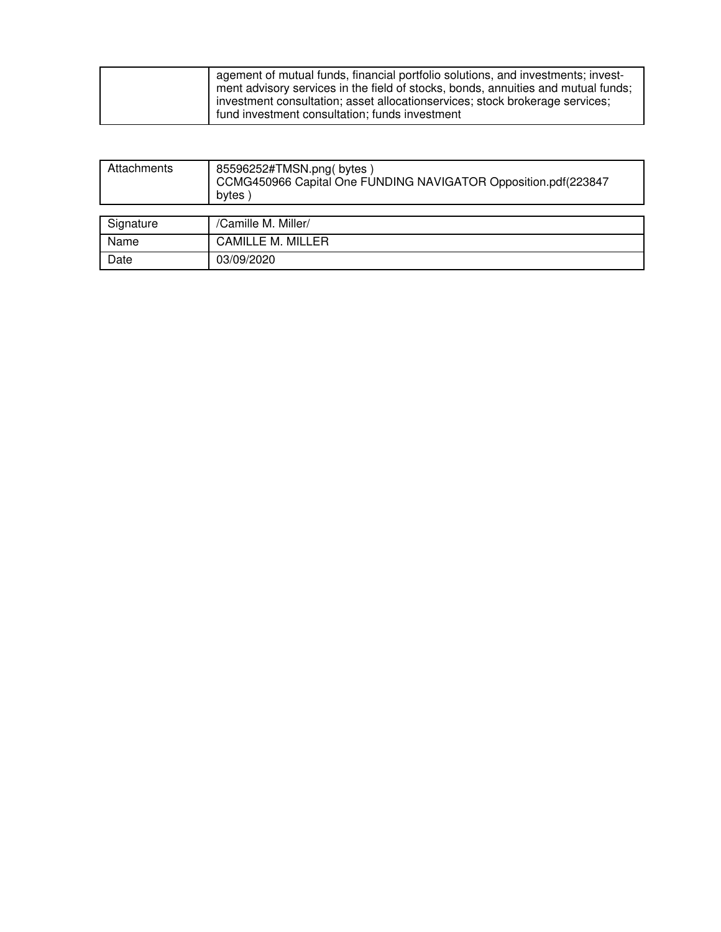| agement of mutual funds, financial portfolio solutions, and investments; invest-  |
|-----------------------------------------------------------------------------------|
| ment advisory services in the field of stocks, bonds, annuities and mutual funds; |
| investment consultation; asset allocationservices; stock brokerage services;      |
| fund investment consultation; funds investment                                    |

| Attachments | 85596252#TMSN.png(bytes)<br>CCMG450966 Capital One FUNDING NAVIGATOR Opposition.pdf(223847<br>bytes |
|-------------|-----------------------------------------------------------------------------------------------------|
|             |                                                                                                     |
| Signature   | /Camille M. Miller/                                                                                 |
| Name        | <b>CAMILLE M. MILLER</b>                                                                            |
| Date        | 03/09/2020                                                                                          |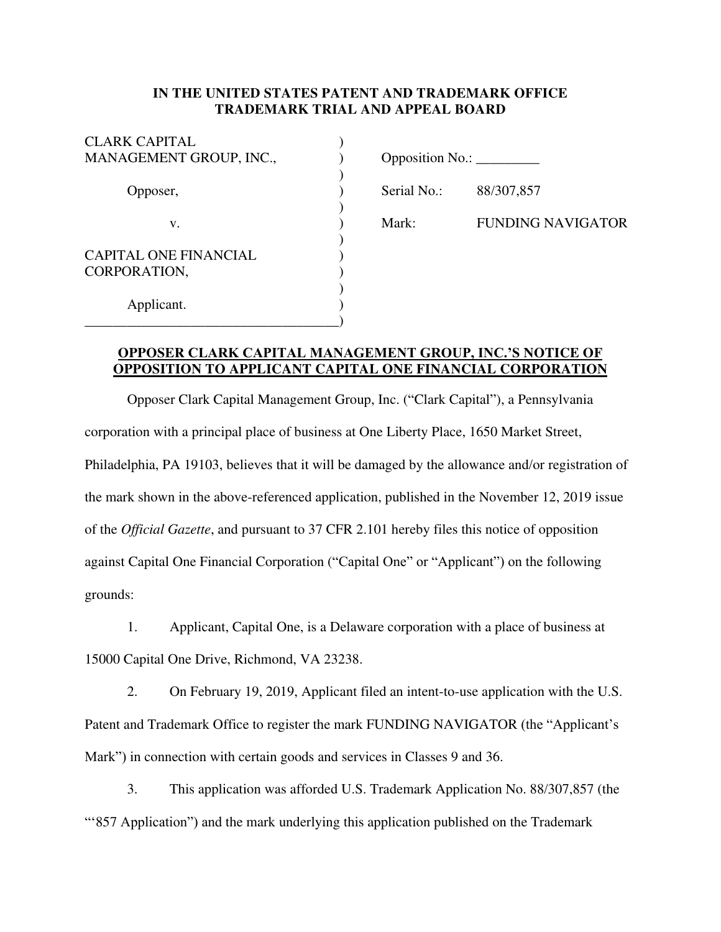### **IN THE UNITED STATES PATENT AND TRADEMARK OFFICE TRADEMARK TRIAL AND APPEAL BOARD**

| <b>CLARK CAPITAL</b>         |                                          |                |
|------------------------------|------------------------------------------|----------------|
| MANAGEMENT GROUP, INC.,      | Opposition No.: $\overline{\phantom{a}}$ |                |
| Opposer,                     | Serial No.:                              | 88/307,857     |
| v.                           | Mark:                                    | <b>FUNDING</b> |
| <b>CAPITAL ONE FINANCIAL</b> |                                          |                |
| CORPORATION,                 |                                          |                |
| Applicant.                   |                                          |                |
|                              |                                          |                |

| <b>Opposition No.:</b> |  |
|------------------------|--|
|------------------------|--|

Mark: FUNDING NAVIGATOR

## **OPPOSER CLARK CAPITAL MANAGEMENT GROUP, INC.'S NOTICE OF OPPOSITION TO APPLICANT CAPITAL ONE FINANCIAL CORPORATION**

Opposer Clark Capital Management Group, Inc. ("Clark Capital"), a Pennsylvania corporation with a principal place of business at One Liberty Place, 1650 Market Street, Philadelphia, PA 19103, believes that it will be damaged by the allowance and/or registration of the mark shown in the above-referenced application, published in the November 12, 2019 issue of the *Official Gazette*, and pursuant to 37 CFR 2.101 hereby files this notice of opposition against Capital One Financial Corporation ("Capital One" or "Applicant") on the following grounds:

1. Applicant, Capital One, is a Delaware corporation with a place of business at

15000 Capital One Drive, Richmond, VA 23238.

2. On February 19, 2019, Applicant filed an intent-to-use application with the U.S. Patent and Trademark Office to register the mark FUNDING NAVIGATOR (the "Applicant's Mark") in connection with certain goods and services in Classes 9 and 36.

3. This application was afforded U.S. Trademark Application No. 88/307,857 (the "857 Application") and the mark underlying this application published on the Trademark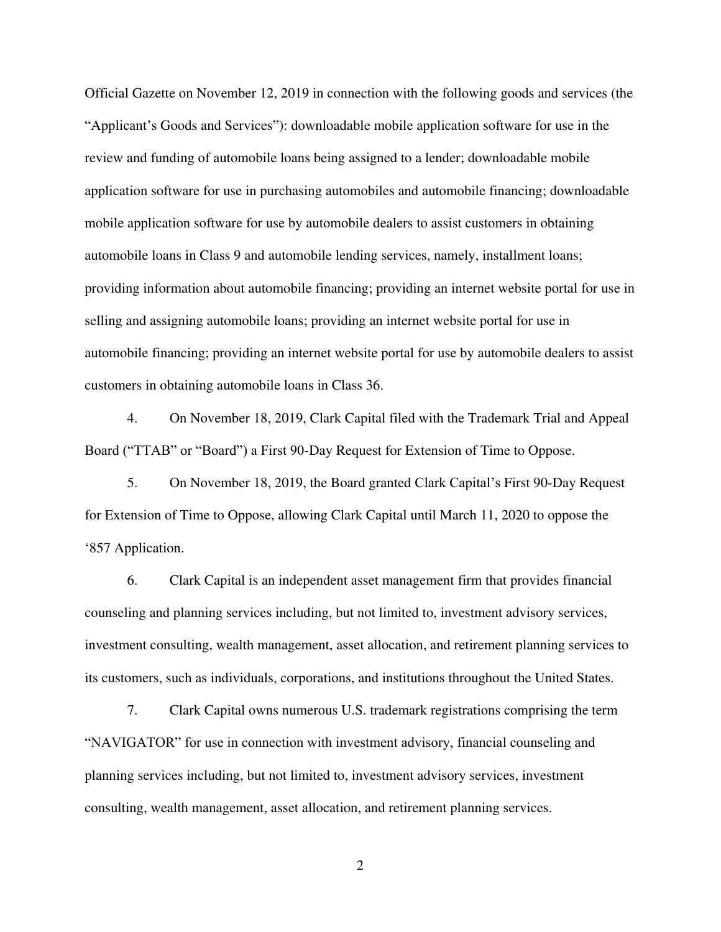Official Gazette on November 12, 2019 in connection with the following goods and services (the "Applicant's Goods and Services"): downloadable mobile application software for use in the review and funding of automobile loans being assigned to a lender; downloadable mobile application software for use in purchasing automobiles and automobile financing; downloadable mobile application software for use by automobile dealers to assist customers in obtaining automobile loans in Class 9 and automobile lending services, namely, installment loans; providing information about automobile financing; providing an internet website portal for use in selling and assigning automobile loans; providing an internet website portal for use in automobile financing; providing an internet website portal for use by automobile dealers to assist customers in obtaining automobile loans in Class 36.

4. On November 18, 2019, Clark Capital filed with the Trademark Trial and Appeal Board ("TTAB" or "Board") a First 90-Day Request for Extension of Time to Oppose.

5. On November 18, 2019, the Board granted Clark Capital's First 90-Day Request for Extension of Time to Oppose, allowing Clark Capital until March 11, 2020 to oppose the '857 Application.

6. Clark Capital is an independent asset management firm that provides financial counseling and planning services including, but not limited to, investment advisory services, investment consulting, wealth management, asset allocation, and retirement planning services to its customers, such as individuals, corporations, and institutions throughout the United States.

7. Clark Capital owns numerous U.S. trademark registrations comprising the term "NAVIGATOR" for use in connection with investment advisory, financial counseling and planning services including, but not limited to, investment advisory services, investment consulting, wealth management, asset allocation, and retirement planning services.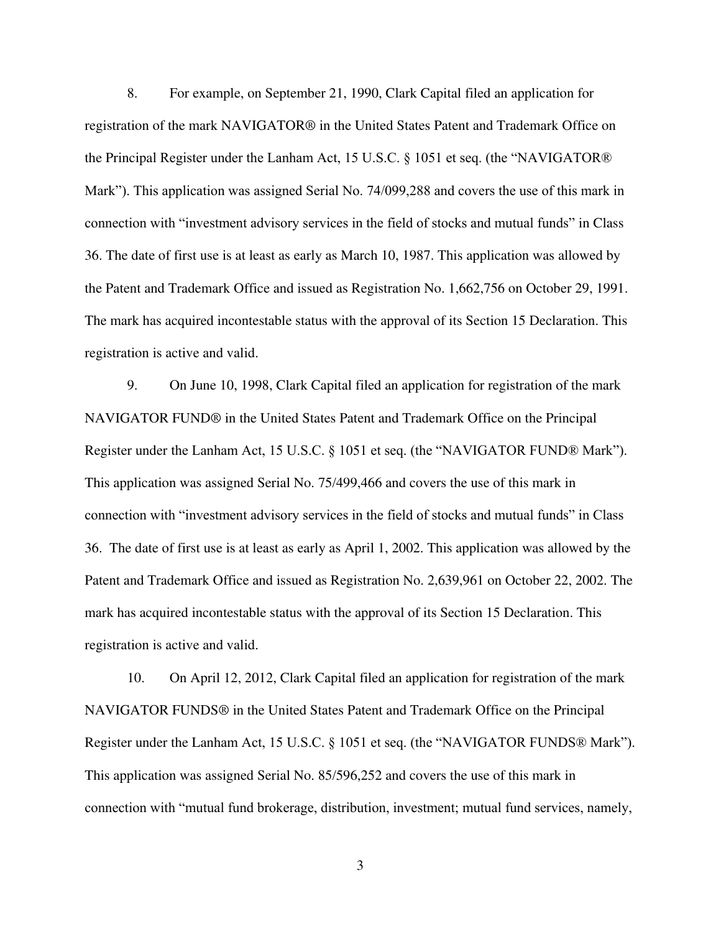8. For example, on September 21, 1990, Clark Capital filed an application for registration of the mark NAVIGATOR® in the United States Patent and Trademark Office on the Principal Register under the Lanham Act, 15 U.S.C. § 1051 et seq. (the "NAVIGATOR® Mark"). This application was assigned Serial No. 74/099,288 and covers the use of this mark in connection with "investment advisory services in the field of stocks and mutual funds" in Class 36. The date of first use is at least as early as March 10, 1987. This application was allowed by the Patent and Trademark Office and issued as Registration No. 1,662,756 on October 29, 1991. The mark has acquired incontestable status with the approval of its Section 15 Declaration. This registration is active and valid.

9. On June 10, 1998, Clark Capital filed an application for registration of the mark NAVIGATOR FUND® in the United States Patent and Trademark Office on the Principal Register under the Lanham Act, 15 U.S.C. § 1051 et seq. (the "NAVIGATOR FUND® Mark"). This application was assigned Serial No. 75/499,466 and covers the use of this mark in connection with "investment advisory services in the field of stocks and mutual funds" in Class 36. The date of first use is at least as early as April 1, 2002. This application was allowed by the Patent and Trademark Office and issued as Registration No. 2,639,961 on October 22, 2002. The mark has acquired incontestable status with the approval of its Section 15 Declaration. This registration is active and valid.

10. On April 12, 2012, Clark Capital filed an application for registration of the mark NAVIGATOR FUNDS® in the United States Patent and Trademark Office on the Principal Register under the Lanham Act, 15 U.S.C. § 1051 et seq. (the "NAVIGATOR FUNDS® Mark"). This application was assigned Serial No. 85/596,252 and covers the use of this mark in connection with "mutual fund brokerage, distribution, investment; mutual fund services, namely,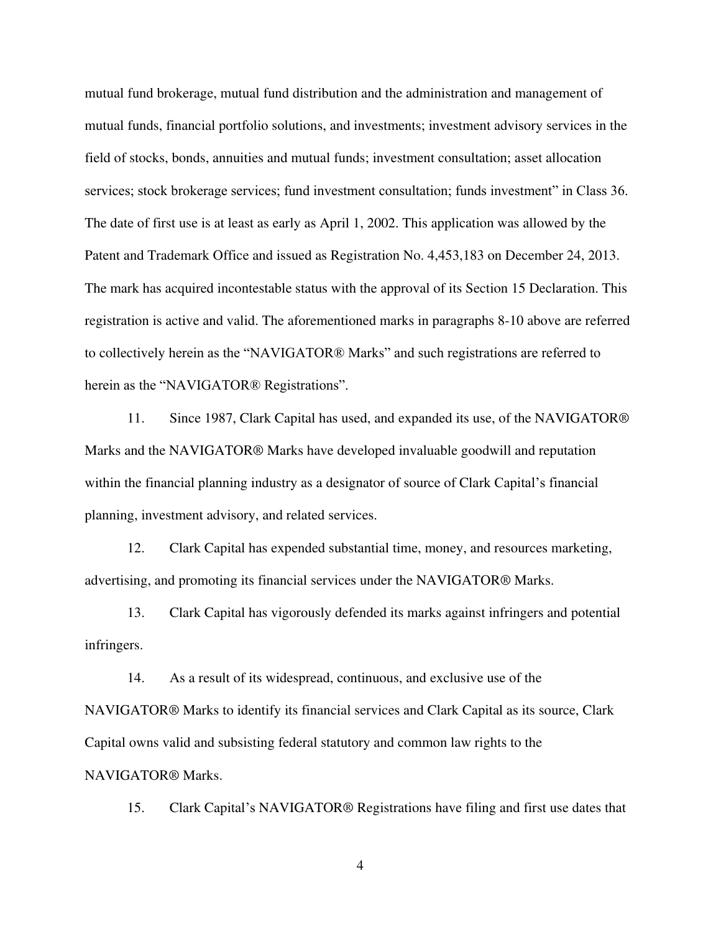mutual fund brokerage, mutual fund distribution and the administration and management of mutual funds, financial portfolio solutions, and investments; investment advisory services in the field of stocks, bonds, annuities and mutual funds; investment consultation; asset allocation services; stock brokerage services; fund investment consultation; funds investment" in Class 36. The date of first use is at least as early as April 1, 2002. This application was allowed by the Patent and Trademark Office and issued as Registration No. 4,453,183 on December 24, 2013. The mark has acquired incontestable status with the approval of its Section 15 Declaration. This registration is active and valid. The aforementioned marks in paragraphs 8-10 above are referred to collectively herein as the "NAVIGATOR® Marks" and such registrations are referred to herein as the "NAVIGATOR® Registrations".

11. Since 1987, Clark Capital has used, and expanded its use, of the NAVIGATOR® Marks and the NAVIGATOR® Marks have developed invaluable goodwill and reputation within the financial planning industry as a designator of source of Clark Capital's financial planning, investment advisory, and related services.

12. Clark Capital has expended substantial time, money, and resources marketing, advertising, and promoting its financial services under the NAVIGATOR® Marks.

13. Clark Capital has vigorously defended its marks against infringers and potential infringers.

14. As a result of its widespread, continuous, and exclusive use of the NAVIGATOR® Marks to identify its financial services and Clark Capital as its source, Clark Capital owns valid and subsisting federal statutory and common law rights to the NAVIGATOR® Marks.

15. Clark Capital's NAVIGATOR® Registrations have filing and first use dates that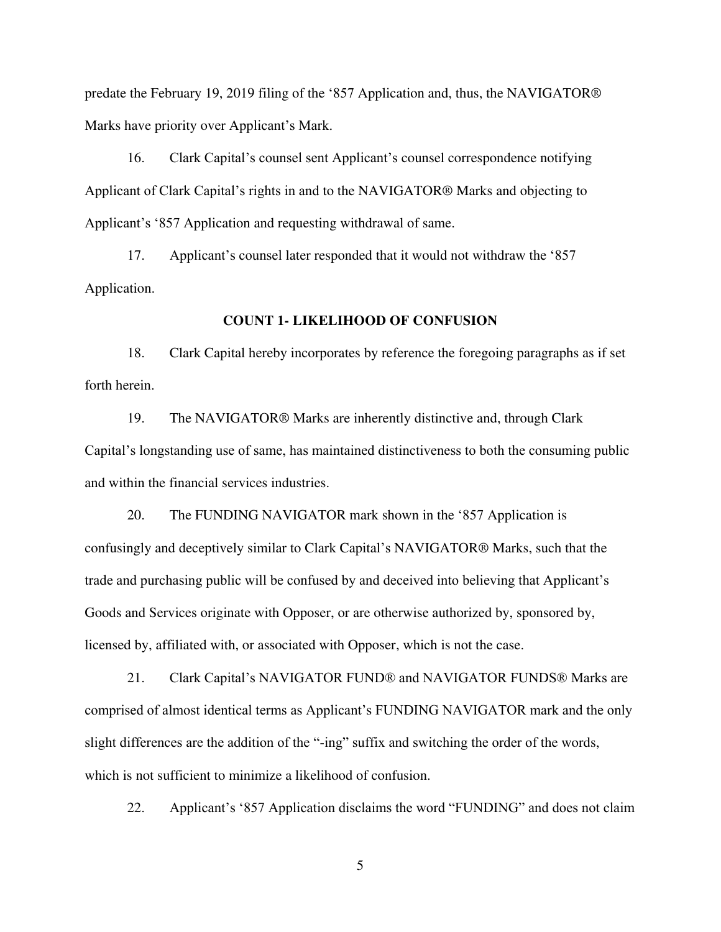predate the February 19, 2019 filing of the '857 Application and, thus, the NAVIGATOR® Marks have priority over Applicant's Mark.

16. Clark Capital's counsel sent Applicant's counsel correspondence notifying Applicant of Clark Capital's rights in and to the NAVIGATOR® Marks and objecting to Applicant's '857 Application and requesting withdrawal of same.

17. Applicant's counsel later responded that it would not withdraw the '857 Application.

#### **COUNT 1- LIKELIHOOD OF CONFUSION**

18. Clark Capital hereby incorporates by reference the foregoing paragraphs as if set forth herein.

19. The NAVIGATOR® Marks are inherently distinctive and, through Clark Capital's longstanding use of same, has maintained distinctiveness to both the consuming public and within the financial services industries.

20. The FUNDING NAVIGATOR mark shown in the '857 Application is confusingly and deceptively similar to Clark Capital's NAVIGATOR® Marks, such that the trade and purchasing public will be confused by and deceived into believing that Applicant's Goods and Services originate with Opposer, or are otherwise authorized by, sponsored by, licensed by, affiliated with, or associated with Opposer, which is not the case.

21. Clark Capital's NAVIGATOR FUND® and NAVIGATOR FUNDS® Marks are comprised of almost identical terms as Applicant's FUNDING NAVIGATOR mark and the only slight differences are the addition of the "-ing" suffix and switching the order of the words, which is not sufficient to minimize a likelihood of confusion.

22. Applicant's '857 Application disclaims the word "FUNDING" and does not claim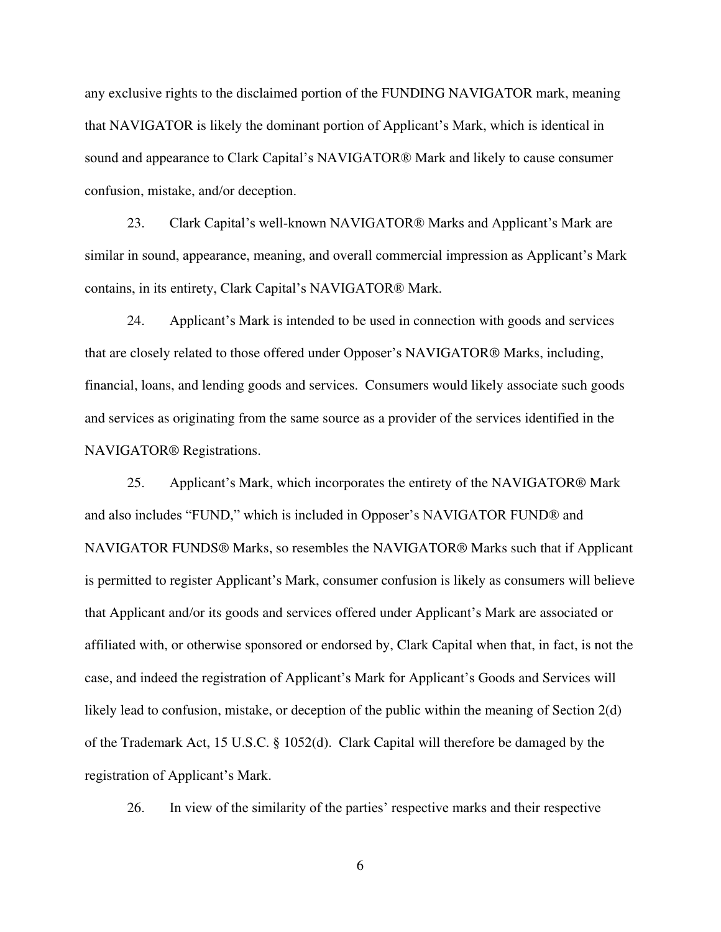any exclusive rights to the disclaimed portion of the FUNDING NAVIGATOR mark, meaning that NAVIGATOR is likely the dominant portion of Applicant's Mark, which is identical in sound and appearance to Clark Capital's NAVIGATOR® Mark and likely to cause consumer confusion, mistake, and/or deception.

23. Clark Capital's well-known NAVIGATOR® Marks and Applicant's Mark are similar in sound, appearance, meaning, and overall commercial impression as Applicant's Mark contains, in its entirety, Clark Capital's NAVIGATOR® Mark.

24. Applicant's Mark is intended to be used in connection with goods and services that are closely related to those offered under Opposer's NAVIGATOR® Marks, including, financial, loans, and lending goods and services. Consumers would likely associate such goods and services as originating from the same source as a provider of the services identified in the NAVIGATOR® Registrations.

25. Applicant's Mark, which incorporates the entirety of the NAVIGATOR® Mark and also includes "FUND," which is included in Opposer's NAVIGATOR FUND® and NAVIGATOR FUNDS® Marks, so resembles the NAVIGATOR® Marks such that if Applicant is permitted to register Applicant's Mark, consumer confusion is likely as consumers will believe that Applicant and/or its goods and services offered under Applicant's Mark are associated or affiliated with, or otherwise sponsored or endorsed by, Clark Capital when that, in fact, is not the case, and indeed the registration of Applicant's Mark for Applicant's Goods and Services will likely lead to confusion, mistake, or deception of the public within the meaning of Section 2(d) of the Trademark Act, 15 U.S.C. § 1052(d). Clark Capital will therefore be damaged by the registration of Applicant's Mark.

26. In view of the similarity of the parties' respective marks and their respective